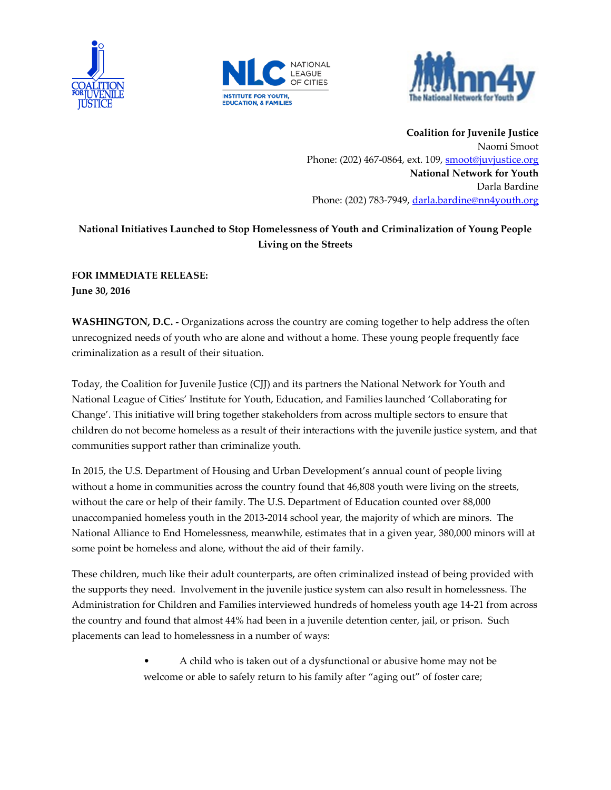





**Coalition for Juvenile Justice** Naomi Smoot Phone: (202) 467-0864, ext. 109, [smoot@juvjustice.org](mailto:smoot@juvjustice.org) **National Network for Youth** Darla Bardine Phone: (202) 783-7949, [darla.bardine@nn4youth.org](mailto:darla.bardine@nn4youth.org)

## **National Initiatives Launched to Stop Homelessness of Youth and Criminalization of Young People Living on the Streets**

**FOR IMMEDIATE RELEASE: June 30, 2016**

**WASHINGTON, D.C. -** Organizations across the country are coming together to help address the often unrecognized needs of youth who are alone and without a home. These young people frequently face criminalization as a result of their situation.

Today, the Coalition for Juvenile Justice (CJJ) and its partners the National Network for Youth and National League of Cities' Institute for Youth, Education, and Families launched 'Collaborating for Change'. This initiative will bring together stakeholders from across multiple sectors to ensure that children do not become homeless as a result of their interactions with the juvenile justice system, and that communities support rather than criminalize youth.

In 2015, the U.S. Department of Housing and Urban Development's annual count of people living without a home in communities across the country found that 46,808 youth were living on the streets, without the care or help of their family. The U.S. Department of Education counted over 88,000 unaccompanied homeless youth in the 2013-2014 school year, the majority of which are minors. The National Alliance to End Homelessness, meanwhile, estimates that in a given year, 380,000 minors will at some point be homeless and alone, without the aid of their family.

These children, much like their adult counterparts, are often criminalized instead of being provided with the supports they need. Involvement in the juvenile justice system can also result in homelessness. The Administration for Children and Families interviewed hundreds of homeless youth age 14-21 from across the country and found that almost 44% had been in a juvenile detention center, jail, or prison. Such placements can lead to homelessness in a number of ways:

> • A child who is taken out of a dysfunctional or abusive home may not be welcome or able to safely return to his family after "aging out" of foster care;